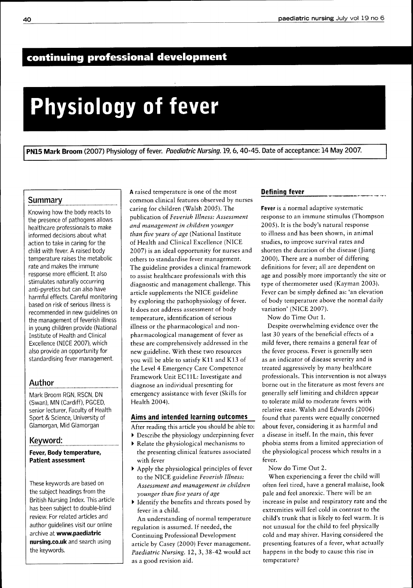# **continuing professional development**

# **Physiology of fever**

PN15 Mark Broom (2007) Physiology of fever. Paediatric Nursing. 19, 6, 40-45. Date of acceptance: 14 May 2007.

### **Summary**

Knowing how the body reacts to the presence of pathogens allows healthcare professionals to make informed decisions about what action to take in caring for the child with fever. A raised body temperature raises the metabolic rate and makes the immune response more efficient. It also stimulates naturally occurring anti-pyretics but can also have harmful effects. Careful monitoring based on risk of serious illness is recommended in new guidelines on the management of feverish illness in young children provide (National Institute of Health and Clinical Excellence (NICE 2007), which also provide an opportunity for standardising fever management

# Author

Mark Broom RGN, RSCN, DN (Swan), MN (Cardiff), PGCED, senior lecturer. Faculty of Health Sport & Science, University of Glamorgan, Mid Glamorgan

### Keyword:

### **Fever, Body temperature. Patient assessment**

These keywords are based on the subject headings from the British Nursing Index. This article has been subject to double-blind review. For related articles and author guidelines visit our online archive at **www.paediatric nursing.co.uk** and search using the keywords.

A raised temperature is one of the most common clinical features observed by nurses caring for children (Walsh 2005). The publication of *Feverish Illness: Assessment and management in children younger than five years of age* (National Institute of Health and Clinical Excellence (NICE 2007) is an ideal opportunity for nurses and others to standardise fever management. The guideline provides a clinical framework to assist healthcare professionals with this diagnostic and management challenge. This article supplements the NICE guideline by exploring the pathophysiology of fever. It does not address assessment of body temperature, identification of serious illness or the pharmacological and nonpharmacological management of fever as these are comprehensively addressed in the new guideline. With these two resources you will be able to satisfy Kll and K13 of the Level 4 Emergency Care Competence Eramework Unit ECllL: Investigate and diagnose an individual presenting for emergency assistance with fever (Skills for Health 2004).

### **Aims and intended learning outcomes**

- After reading this article you should be able to:
- Describe the physiology underpinning fever
- Relate the physiological mechanisms to the presenting clinical features associated with fever
- Apply the physiological principles of fever to the NICE guideline *Feverish Illness: Assessment and management in children younger than five years of age*
- Identify the benefits and threats posed by fever in a child.

An understanding of normal temperature regulation is assumed. If needed, the Continuing Professional Development article by Casey (2000) Eever management. *Paediatric Nursing.* 12, 3, 38-42 would act as a good revision aid.

#### **Defining fever**

**Fever** is a normal adaptive systematic response to an immune stimulus (Thompson 2005). It is the body's natural response to illness and has been shown, in animal studies, to improve survival rates and shorten the duration of the disease (Jiang 2000). There are a number of differing definitions for fever; all are dependent on age and possibly more importantly the site or type of thermometer used (Kayman 2003). Eever can be simply defined as: 'an elevation of body temperature above the normal daily variation' (NICE 2007).

Now do Time Out 1.

Despite overwhelming evidence over the last 30 years of the beneficial effects of a mild fever, there remains a general fear of the fever process. Eever is generally seen as an indicator of disease severity and is treated aggressively by many healthcare professionals. This intervention is not always borne out in the literature as most fevers are generally self limiting and children appear to tolerate mild to moderate fevers with relative ease. Walsh and Edwards (2006) found that parents were equally concerned about fever, considering it as harmful and a disease in itself. In the main, this fever phobia stems from a limited appreciation of the physiological process which results in a fever.

Now do Time Out 2.

When experiencing a fever the child will often feel tired, have a general malaise, look pale and feel anorexic. There will be an increase in pulse and respiratory rate and the extremities will feel cold in contrast to the child's trunk that is likely to feel warm. It is not unusual for the child to feel physically cold and may shiver. Having considered the presenting features of a fever, what actually happens in the body to cause this rise in temperature?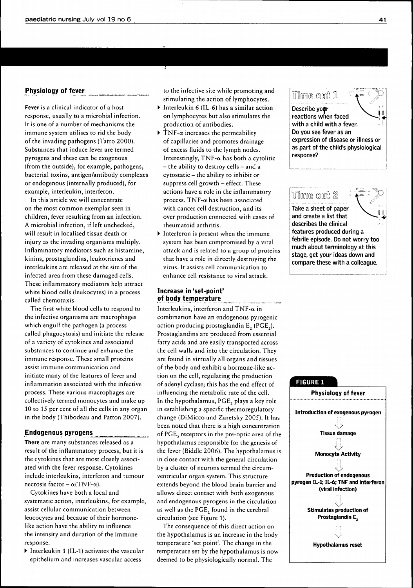### **Physiology of fever**

**Fever** is a clinical indicator of a host response, usually to a microbial infection. It is one of a number of mechanisms the immune system utilises to rid the body of the invading pathogens (Tatro 2000). Substances that induce fever are termed pyrogens and these can be exogenous (from the outside), for example, pathogens, bacterial toxins, antigen/antibody complexes or endogenous (internally produced), for example, interleukin, interferon.

In this article we will concentrate on the most common exemplar seen in children, fever resulting from an infection. A microbial infection, if left unchecked, will result in localised tissue death or injury as the invading organisms multiply. Inflammatory mediators such as histamine, kinins, prostaglandins, leukotrienes and interleukins are released at the site of the infected area from these damaged cells. These inflammatory mediators help attract white blood cells (leukocytes) in a process called chemotaxis.

The first white blood cells to respond to the infective organisms are macrophages which engulf the pathogen (a process called phagocytosis) and initiate the release of a variety of cytokines and associated substances to continue and enhance the immune response. These small proteins assist immune communication and initiate many of the features of fever and inflammation associated with the infective process. These various macrophages are collectively termed monocytes and make up 10 to 15 per cent of all the cells in any organ in the body (Thibodeau and Patton 2007).

#### **Endogenous pyrogens**

**There** are many substances released as a result of the inflammatory process, but it is the cytokines that are most closely associated with the fever response. Cytokines include interleukins, interferon and tumour necrosis factor  $-\alpha$ (TNF- $\alpha$ ).

Cytokines have both a local and systematic action, interleukins, for example, assist cellular communication between leucocytes and because of their hormonelike action have the ability to influence the intensity and duration of the immune response.

• Interleukin 1 (IL-1) activates the vascular epithelium and increases vascular access

to the infective site while promoting and stimulating the action of lymphocytes.

- Interleukin 6 (IL-6) has a similar action on lymphocytes but also stimulates the production of antibodies.
- $\triangleright$  TNF- $\alpha$  increases the permeability of capillaries and promotes drainage of excess fluids to the lymph nodes. Interestingly, TNF- $\alpha$  has both a cytolitic  $-$  the ability to destroy cells  $-$  and a cytostatic - the ability to inhibit or suppress cell growth - effect. These actions have a role in the inflammatory process. TNF- $\alpha$  has been associated with cancer cell destruction, and its over production connected with cases of rheumatoid arthritis.
- Interferon is present when the immune system has been compromised by a viral attack and is related to a group of proteins that have a role in directly destroying the virus. It assists cell communication to enhance cell resistance to viral attack.

### **Increase in 'set-point' oj body temperature**

Interleukins, interferon and TNF- $\alpha$  in combination have an endogenous pyrogenic action producing prostaglandin E^ (PGE^). Prostaglandins are produced from essential fatty acids and are easily transported across the cell walls and into the circulation. They are found in virtually all organs and tissues of the body and exhibit a hormone-like action on the cell, regulating the production of adenyl cyclase; this has the end effect of influencing the metabolic rate of the cell. In the hypothalamus, PGE, plays a key role in establishing a specific thermoregulatory change (DiMicco and Zaretsky 2005). It has been noted that there is a high concentration of PGE, receptors in the pre-optic area of the hypothalamus responsible for the genesis of the fever (Biddle 2006). The hypothalamus is in close contact with the general circulation by a cluster of neurons termed the circumventricular organ system. This structure extends beyond the blood brain barrier and allows direct contact with both exogenous and endogenous pyrogens in the circulation as well as the PGE, found in the cerebral circulation (see Figure 1).

The consequence of this direct action on the hypothalamus is an increase in the body temperature 'set point'. The change in the temperature set by the hypothalamus is now deemed to be physiologically normal. The



### Time out 2 Take a sheet of paper and create a list that describes the clinical features produced during a febrile episode. Do not worry too much about terminology at this stage, get your ideas down and

compare these with a colleague.

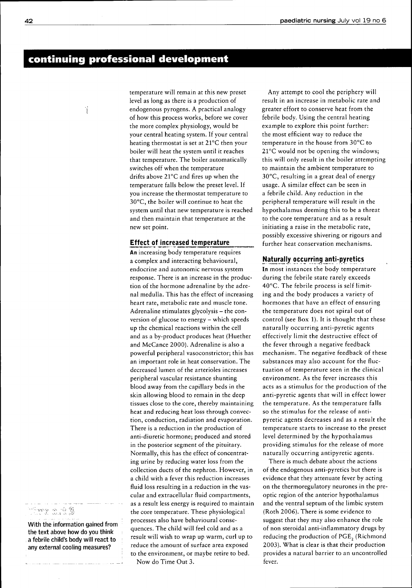# **continuing professional development**

٠,

temperature will remain at this new preset level as long as there is a production of endogenous pyrogens. A practical analogy of how this process works, before we cover the more complex physiology, would be your central heating system. If your central heating thermostat is set at 21°C then your boiler will heat the system until it reaches that temperature. The boiler automatically switches off when the temperature drifts above 21°C and fires up when the temperature falls below the preset level. If you increase the thermostat temperature to 30°C, the boiler will continue to heat the system until that new temperature is reached and then maintain that temperature at the new set point.

### **Effect of increased temperature**

An increasing body temperature requires a complex and interacting behavioural, endocrine and autonomic nervous system response. There is an increase in the production of the hormone adrenaline by the adrenal medulla. This has the effect of increasing heart rate, metabolic rate and muscle tone. Adrenaline stimulates glycolysis - the conversion of glucose to energy - which speeds up the chemical reactions within the cell and as a by-product produces heat (Huether and McCance 2000). Adrenaline is also a powerful peripheral vasoconstrictor; this has an important role in heat conservation. The decreased lumen of the arterioles increases peripheral vascular resistance shunting blood away from the capillary beds in the skin allowing blood to remain in the deep tissues close to the core, thereby maintaining heat and reducing heat loss through convection, conduction, radiation and evaporation. There is a reduction in the production of anti-diuretic hormone; produced and stored in the posterior segment of the pituitary. Normally, this has the effect of concentrating urine by reducing water loss from the collection ducts of the nephron. However, in a child with a fever this reduction increases fluid loss resulting in a reduction in the vascular and extracellular fluid compartments, as a result less energy is required to maintain the core temperature. These physiological processes also have behavioural consequences. The child will feel cold and as a result will wish to wrap up warm, curl up to reduce the amount of surface area exposed to the environment, or maybe retire to bed. Now do Time Out 3.

Any attempt to cool the periphery will result in an increase in metabolic rate and greater effort to conserve heat from the febrile body. Using the central heating example to explore this point further: the most efficient way to reduce the temperature in the house from 30°C to 21°C would not be opening the windows; this will only result in the boiler attempting to maintain the ambient temperature to 30°C, resulting in a great deal of energy usage. A similar effect can be seen in a febrile child. Any reduction in the peripheral temperature will result in the hypothalamus deeming this to be a threat to the core temperature and as a result initiating a raise in the metabolic rate, possibly excessive shivering or rigours and further heat conservation mechanisms.

### **Natiurally occurring anti-pyretics**

In most instances the body temperature during the febrile state rarely exceeds 40°C. The febrile process is self limiting and the body produces a variety of hormones that have an effect of ensuring the temperature does not spiral out of control (see Box 1). It is thought that these naturally occurring anti-pyretic agents effectively limit the destructive effect of the fever through a negative feedback mechanism. The negative feedback of these substances may also account for the fluctuation of temperature seen in the clinical environment. As the fever increases this acts as a stimulus for the production of the anti-pyretic agents that will in effect lower the temperature. As the temperature falls so the stimulus for the release of antipyretic agents decreases and as a result the temperature starts to increase to the preset level determined by the hypothalamus providing stimulus for the release of more naturally occurring antipyretic agents.

There is much debate about the actions of the endogenous anti-pyretics but there is evidence that they attenuate fever by acting on the thermoregulatory neurones in the preoptic region of the anterior hypothalamus and the ventral septum of the limbic system (Roth 2006). There is some evidence to suggest that they may also enhance the role of non steroidal anti-inflammatory drugs by reducing the production of PGE<sub>2</sub> (Richmond 2003). What is clear is that their production provides a natural barrier to an uncontrolled fever.

# me o. t 3

With the information gained from the text above how do you think a febrile child's body will react to any external cooling measures?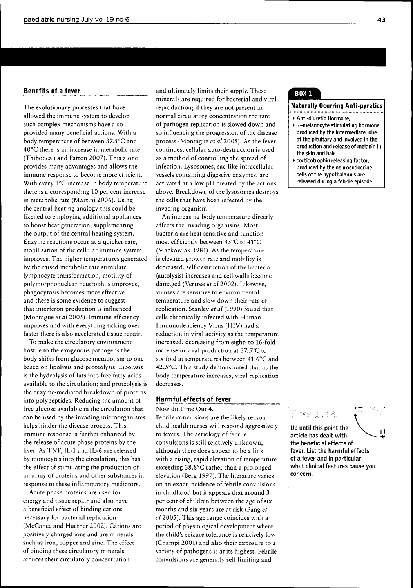### **Benefits of a fever**

The evolutionary processes that have allowed the immune system to develop such complex mechanisms have also provided many beneficial actions. With a body temperature of between 37.5°C and 40°C there is an increase in metabolic rate (Thibodeau and Patton 2007). This alone provides many advantages and allows the immune response to become more efficient. With every 1°C increase in body temperature there is a corresponding 10 per cent increase in metabolic rate (Martini 2006). Using the central heating analogy this could be likened to employing additional appliances to boost heat generation, supplementing the output of the central heating system. Enzyme reactions occur at a quicker rate, mobilisation of the cellular immune system improves. The higher temperatures generated by the raised metabolic rate stimulate lymphocyte transformation, motility of polymorphonuclear neutrophils improves, phagocytosis becomes more effective and there is some evidence to suggest that interferon production is influenced (Montague *et al* 2005). Immune efficiency improves and with everything ticking over faster there is also accelerated tissue repair.

To make the circulatory environment hostile to the exogenous pathogens the body shifts from glucose metabolism to one based on lipolysis and proteolysis. Lipolysis is the hydrolysis of fats into free fatty acids available to the circulation; and proteolysis is the enzyme-mediated breakdown of proteins into polypeptides. Reducing the amount of free glucose available in the circulation that can be used by the invading microorganisms helps hinder the disease process. This immune response is further enhanced by the release of acute phase proteins by the liver. As TNF, IL-1 and IL-6 are released by monocytes into the circulation, this has the effect of stimulating the production of an array of proteins and other substances in response to these inflammatory mediators.

Acute phase proteins are used for energy and tissue repair and also have a beneficial effect of binding cations necessary for bacterial replication (McCance and Huether 2002). Cations are positively charged ions and are minerals such as iron, copper and zinc. The effect of binding these circulatory minerals reduces their circulatory concentration

and ultimately limits their supply. These minerals are required for bacterial and viral reproduction; if they are not present in normal circulatory concentration the rate of pathogen replication is slowed down and so influencing the progression of the disease process (Montague *et al* 2005). As the fever continues, cellular auto-destruction is used as a method of controlling the spread of infection. Lysosomes, sac-like intracellular vessels containing digestive enzymes, are activated at a low pH created by the actions above. Breakdown of the lysosomes destroys the cells that have been infected by the invading organism.

An increasing body temperature directly affects the invading organisms. Most bacteria are heat sensitive and function most efficiently between 33°C to 41°C (Mackowiak 1981). As the temperature is elevated growth rate and mobility is decreased, self destruction of the bacteria (autolysis) increases and cell walls become damaged (Vertree *etal 2002).* Likewise, viruses are sensitive to environmental temperature and slow down their rate of replication. Stanley *et al* (1990) found that cells chronically infected with Human Immunodeficiency Virus (HIV) had a reduction in viral activity as the temperature increased, decreasing from eight- to 16-fold increase in viral production at 37.5°C to six-fold at temperatures between 41.6°C and 42.5"C. This study demonstrated that as the body temperature increases, viral replication decreases.

### **Harmful effects of fever**

Now do Time Out 4. Febrile convulsions are the likely reason child health nurses will respond aggressively to fevers. The aetiology of febrile convulsions is still relatively unknown, although there does appear to be a link with a rising, rapid elevation of temperature exceeding 38.8°C rather than a prolonged elevation (Berg 1997). The literature varies on an exact incidence of febrile convulsions in childhood but it appears that around 3 per cent of children between the age of six months and six years are at risk (Pang *et al* 2005). This age range coincides with a period of physiological development where the child's seizure tolerance is relatively low (Champi 2001) and also their exposure to a variety of pathogens is at its highest. Febrile convulsions are generally self limiting and

## **BOX 1**

#### **Naturally Ocurring Anti-pyretics**

• Anti-diuretic Hormone,

- $\blacktriangleright$   $\alpha$ -melanocyte stimulating hormone, produced by the intermediate lobe of the pituitary and involved in the production and release of melanin in the skin and hair
- corticotrophin releasing factor, produced by the neuroendocrine cells of the hypothalamus are released during a febrile episode.



Up until this point the article has dealt with the beneficial effects of fever. List the harmful effects of a fever and in particular what clinical features cause you concern.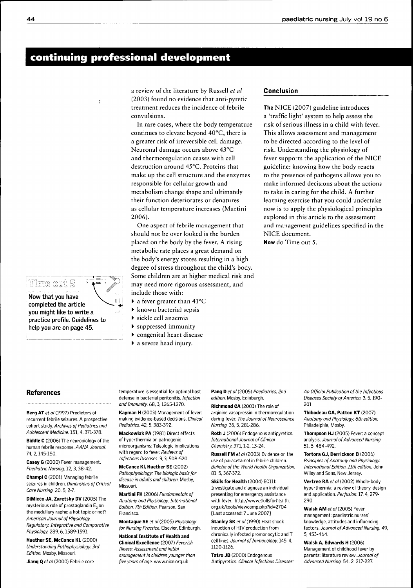# **continuing professionai deveiopment**

 $\ddot{\cdot}$ 

a review of the literature by Russell *et al* (2003) found no evidence that anti-pyretic treatment reduces the incidence of febrile convulsions.

In rare cases, where the body temperature continues to elevate beyond 40°C, there is a greater risk of irreversible cell damage. Neuronal damage occurs above 43°C and thermoregulation ceases with cell destruction around 45°C. Proteins that make up the cell structure and the enzymes responsible for cellular growth and metabolism change shape and ultimately their function deteriorates or denatures as cellular temperature increases (Martini 2006).

One aspect of febrile management that should not be over looked is the burden placed on the body by the fever. A rising metabolic rate places a great demand on the body's energy stores resulting in a high degree of stress throughout the child's body. Some children are at higher medical risk and may need more rigorous assessment, and include those with:

- a fever greater than 41°C
- known bacterial sepsis
- sickle cell anaemia
- suppressed immunity
- congenital heart disease
- a severe head injury.

#### **Conclusion**

**The** NICE (2007) guideline introduces a 'traffic light' system to help assess the risk of serious illness in a child with fever. This allows assessment and management to be directed according to the level of risk. Understanding the physiology of fever supports the application of the NICE guideline: knowing how the body reacts to the presence of pathogens allows you to make informed decisions about the actions to take in caring for the child. A further learning exercise that you could undertake now is to apply the physiological principles explored in this article to the assessment and management guidelines specified in the NICE document. **Now** do Time out 5.

### **References**

**Berg AT** ef al (1997) Predictors of

recurrent febrile seizures. A prospective cohort study. Archives of Pediatrics and Adolescent Medicine. 151, 4,371-378.

**Biddle C** (2006) The neurobiology of the human febrile response. AANA Journal. 74, 2,145-150.

**Casey G** (2000) Fever management. Paediatric Nursing. 12, 3, 38-42.

**Champi C** (2001) Managing febrile seizures in children. Dimensions of Critical Care Nursing. 20, 5, 2-7

**DiMicco JA, Zaretsky DV** (2005) The mysterious role of prostaglandin E<sub>2</sub> on the medullary raphe: a hot topic or not? American Journal of Physiology. Regulatory, Integrative and Comparative Physiology. 289, 6,1589-1591.

**Huether SE, McCance KL** (2000) Understanding Pathophysiology. 3rd Edition. Mosby, Missouri.

**Jiang Q** et al (2000) Febrile core

temperature is essential for optimal host defense in bacterial peritonitis. Infection and Immunity 68,3,1265-1270.

**Kayman H** (2003) Management of fever: making evidence-based decisions. Clinical Pediatrics. 42, 5,383-392.

**Mackowiak PA** (1981) Direct effects of hyperthermia on pathogenic microorganisms: Teleologic implications with regard to fever. Reviews of Infectious Diseases. 3, 3, 508-520.

**McCance Kl, Huether SE** (2002) Pathophysiology: The biologic basis for disease in adults and children. Mosby, Missouri.

**Martini FH** (2006) Fundamentals of Anatomy and Physiology. International Edition. 7th Edition. Pearson, San Francisco.

**Montague SE** et al (2005) Physiology for Nursing Practice. Elsevier, Edinburgh.

**National Institute of Health and Clinical Excellence** (2007) Feverish Illness: Assessment and initial management in children younger than

five years of age. www.nice.org.uk

Pang D et al (2005) Paediatrics. 2nd edition. Mosby, Edinburgh.

**Richmond CA** (2003) The role of arginine vasopressin in thermoregulation during fever. The Journal of Neuroscience Nursing. 35, 5, 281-286.

**Roth J** (2006) Endogenous antipyretics. International Journal of Clinical Chemistry. 371,1-2,13-24.

**Russell FM** et al (2003) Evidence on the use of paracetamol in febrile children. Bulletin of the World Health Organization. 81, 5,367-372.

**Skills for Health** (2004) EClll: Investigate and diagnose an individual presenting for emergency assistance witb fever. bttp://www.skillsforhealth. org.uk/tools/viewcomp.php?id=2704 [Last accessed: 7 June 2007]

**Stanley SK** et al (1990) Heat shock induction of HIV production from chronically infected promonocytic and T cell lines. Journal of Immunology. 145, 4, 1120-1126.

**Tatro JB** (2000) Endogenous Antipyretics. Clinical Infectious Diseases:

An Official Publication of the Infectious Diseases Society of America. 3, 5,190- 201.

**Thibodeau GA, Patton KT** (2007) Anatomy and Physiology. 6th edition. Philadelphia, Mosby.

**Thompson HJ** (2005) Fever: a concept analysis. Journal of Advanced Nursing. 51, 5,484-492.

**Tortora GJ, Derrickson B** (2006) Principles of Anatomy and Physiology. Internationai Edition. 11th edition. John Wiley and Sons, New Jersey.

**Vertree RA** et al (2002) Whole-body hyperthermia: a review of theory, design and application. Perfusion. 17, 4, 279-290.

**Walsh AM** ef al (2005) Fever management: paediatric nurses' knowledge, attitudes and influencing factors. Journal of Advanced Nursing. 49, 5, 453-464.

**Walsh A, Edwards H** (2006) Management of childhood fever by parents: literature review. Journal of Advanced Nursing. 54, 2, 217-227